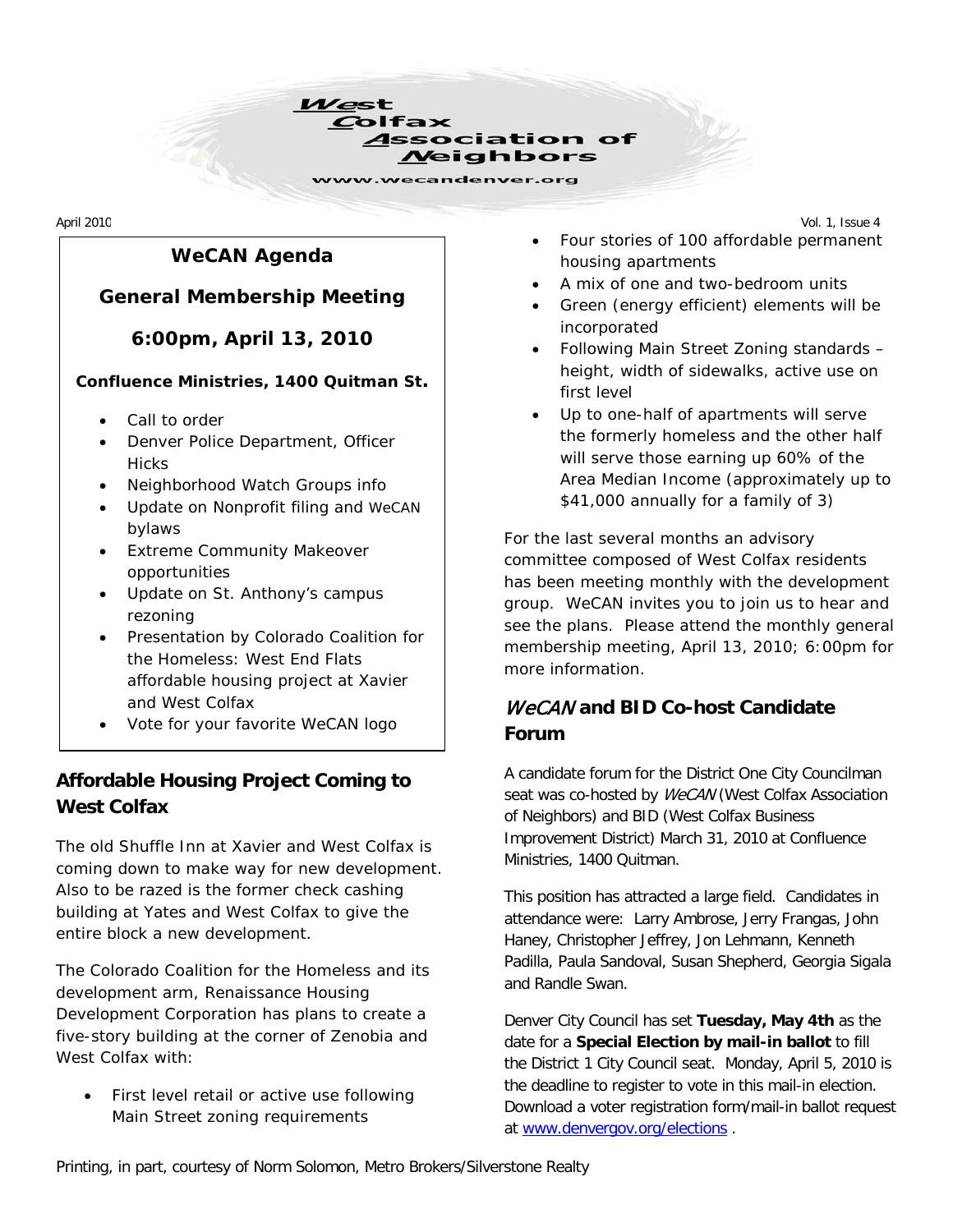

. .

. .

. .

. .

. .

. .

. .

. .

. .

. .

. .

. .

. .

# *WeCAN* **Agenda**

#### **General Membership Meeting**

**6:00pm, April 13, 2010**

#### **Confluence Ministries, 1400 Quitman St.**

- Call to order
- Denver Police Department, Officer **Hicks**
- Neighborhood Watch Groups info
- Update on Nonprofit filing and *WeCAN* bylaws
- Extreme Community Makeover opportunities
- Update on St. Anthony's campus rezoning
- Presentation by Colorado Coalition for the Homeless: West End Flats affordable housing project at Xavier and West Colfax
- Vote for your favorite *WeCAN* logo

## **Affordable Housing Project Coming to West Colfax**

The old Shuffle Inn at Xavier and West Colfax is coming down to make way for new development. Also to be razed is the former check cashing building at Yates and West Colfax to give the entire block a new development.

The Colorado Coalition for the Homeless and its development arm, Renaissance Housing Development Corporation has plans to create a five-story building at the corner of Zenobia and West Colfax with:

• First level retail or active use following Main Street zoning requirements

April 2010 Vol. 1, Issue 4 • Four stories of 100 affordable permanent housing apartments

- A mix of one and two-bedroom units
- Green (energy efficient) elements will be incorporated
- Following Main Street Zoning standards height, width of sidewalks, active use on first level
- Up to one-half of apartments will serve the formerly homeless and the other half will serve those earning up 60% of the Area Median Income (approximately up to \$41,000 annually for a family of 3)

For the last several months an advisory committee composed of West Colfax residents has been meeting monthly with the development group. *WeCAN* invites you to join us to hear and see the plans. Please attend the monthly general membership meeting, April 13, 2010; 6:00pm for more information.

# WeCAN **and BID Co-host Candidate Forum**

A candidate forum for the District One City Councilman seat was co-hosted by WeCAN (West Colfax Association of Neighbors) and BID (West Colfax Business Improvement District) March 31, 2010 at Confluence Ministries, 1400 Quitman.

This position has attracted a large field. Candidates in attendance were: Larry Ambrose, Jerry Frangas, John Haney, Christopher Jeffrey, Jon Lehmann, Kenneth Padilla, Paula Sandoval, Susan Shepherd, Georgia Sigala and Randle Swan.

Denver City Council has set **Tuesday, May 4th** as the date for a **Special Election by mail-in ballot** to fill the District 1 City Council seat. Monday, April 5, 2010 is the deadline to register to vote in this mail-in election. Download a voter registration form/mail-in ballot request at [www.denvergov.org/elections](http://www.denvergov.org/elections) .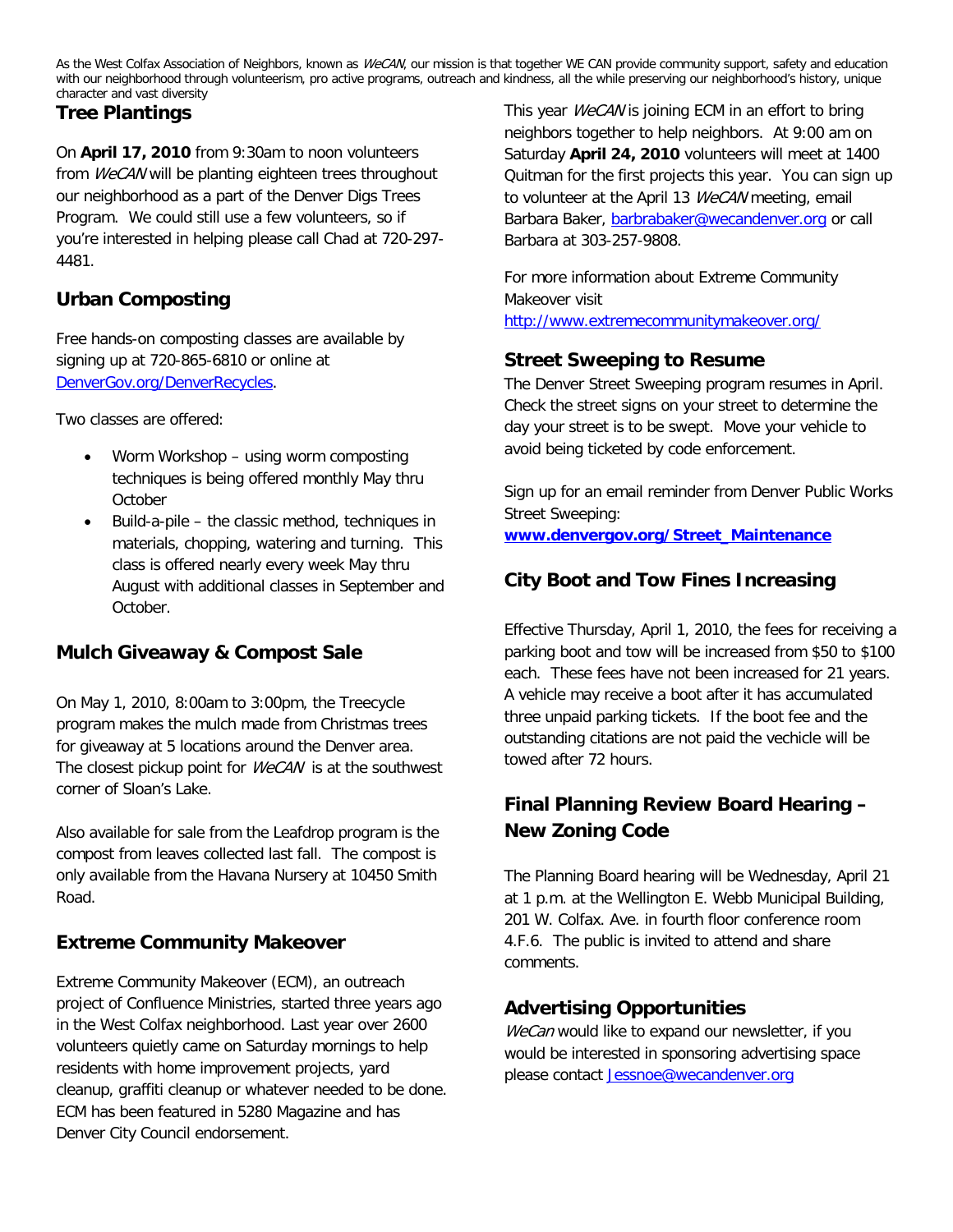As the West Colfax Association of Neighbors, known as WeCAN, our mission is that together WE CAN provide community support, safety and education with our neighborhood through volunteerism, pro active programs, outreach and kindness, all the while preserving our neighborhood's history, unique character and vast diversity

#### **Tree Plantings**

On **April 17, 2010** from 9:30am to noon volunteers from WeCAN will be planting eighteen trees throughout our neighborhood as a part of the Denver Digs Trees Program. We could still use a few volunteers, so if you're interested in helping please call Chad at 720-297- 4481.

## **Urban Composting**

Free hands-on composting classes are available by signing up at 720-865-6810 or online at [DenverGov.org/DenverRecycles.](http://www.denvergov.org/recapp/DenverRecyclesHome/tabid/425351/Default.aspx)

Two classes are offered:

- Worm Workshop using worm composting techniques is being offered monthly May thru **October**
- Build-a-pile the classic method, techniques in materials, chopping, watering and turning. This class is offered nearly every week May thru August with additional classes in September and October.

## **Mulch Giveaway & Compost Sale**

On May 1, 2010, 8:00am to 3:00pm, the Treecycle program makes the mulch made from Christmas trees for giveaway at 5 locations around the Denver area. The closest pickup point for *WeCAN* is at the southwest corner of Sloan's Lake.

Also available for sale from the Leafdrop program is the compost from leaves collected last fall. The compost is only available from the Havana Nursery at 10450 Smith Road.

## **Extreme Community Makeover**

Extreme Community Makeover (ECM), an outreach project of Confluence Ministries, started three years ago in the West Colfax neighborhood. Last year over 2600 volunteers quietly came on Saturday mornings to help residents with home improvement projects, yard cleanup, graffiti cleanup or whatever needed to be done. ECM has been featured in 5280 Magazine and has Denver City Council endorsement.

This year WeCAN is joining ECM in an effort to bring neighbors together to help neighbors. At 9:00 am on Saturday **April 24, 2010** volunteers will meet at 1400 Quitman for the first projects this year. You can sign up to volunteer at the April 13 WeCAN meeting, email Barbara Baker, [barbrabaker@wecandenver.org](mailto:barbrabaker@wecandenver.org) or call Barbara at 303-257-9808.

For more information about Extreme Community Makeover visit <http://www.extremecommunitymakeover.org/>

## **Street Sweeping to Resume**

The Denver Street Sweeping program resumes in April. Check the street signs on your street to determine the day your street is to be swept. Move your vehicle to avoid being ticketed by code enforcement.

Sign up for an email reminder from Denver Public Works Street Sweeping: **[www.denvergov.org/Street\\_Maintenance](http://www.denvergov.org/Street_Maintenance)**

## **City Boot and Tow Fines Increasing**

Effective Thursday, April 1, 2010, the fees for receiving a parking boot and tow will be increased from \$50 to \$100 each. These fees have not been increased for 21 years. A vehicle may receive a boot after it has accumulated three unpaid parking tickets. If the boot fee and the outstanding citations are not paid the vechicle will be towed after 72 hours.

## **Final Planning Review Board Hearing – New Zoning Code**

The Planning Board hearing will be Wednesday, April 21 at 1 p.m. at the Wellington E. Webb Municipal Building, 201 W. Colfax. Ave. in fourth floor conference room 4.F.6. The public is invited to attend and share comments.

## **Advertising Opportunities**

WeCan would like to expand our newsletter, if you would be interested in sponsoring advertising space please contact [Jessnoe@wecandenver.org](mailto:Jessnoe@wecandenver.org)